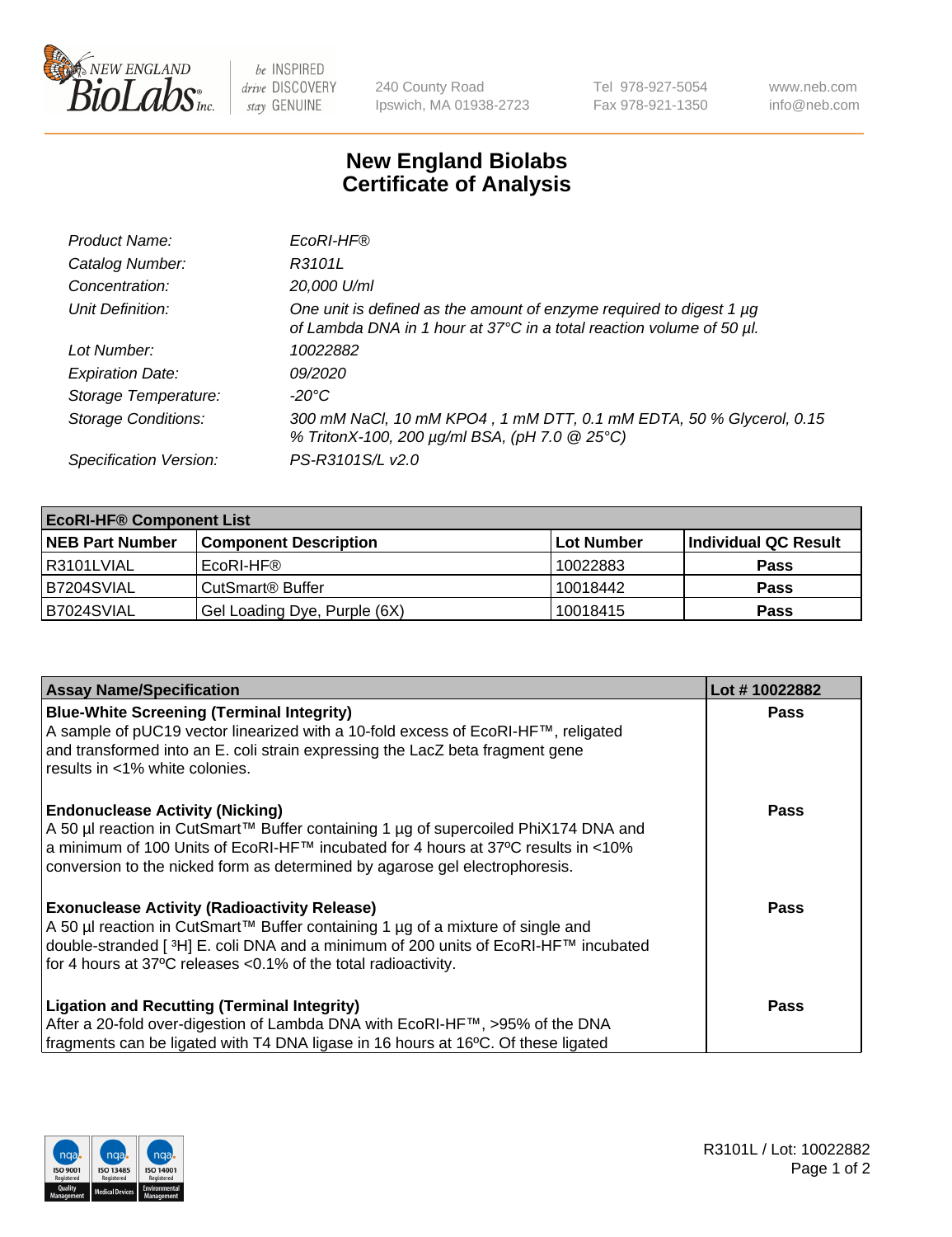

 $be$  INSPIRED drive DISCOVERY stay GENUINE

240 County Road Ipswich, MA 01938-2723 Tel 978-927-5054 Fax 978-921-1350 www.neb.com info@neb.com

## **New England Biolabs Certificate of Analysis**

| Product Name:              | EcoRI-HF®                                                                                                                                   |
|----------------------------|---------------------------------------------------------------------------------------------------------------------------------------------|
| Catalog Number:            | R3101L                                                                                                                                      |
| Concentration:             | 20,000 U/ml                                                                                                                                 |
| Unit Definition:           | One unit is defined as the amount of enzyme required to digest 1 µg<br>of Lambda DNA in 1 hour at 37°C in a total reaction volume of 50 µl. |
| Lot Number:                | 10022882                                                                                                                                    |
| <b>Expiration Date:</b>    | 09/2020                                                                                                                                     |
| Storage Temperature:       | -20°C                                                                                                                                       |
| <b>Storage Conditions:</b> | 300 mM NaCl, 10 mM KPO4, 1 mM DTT, 0.1 mM EDTA, 50 % Glycerol, 0.15<br>% TritonX-100, 200 µg/ml BSA, (pH 7.0 @ 25°C)                        |
| Specification Version:     | PS-R3101S/L v2.0                                                                                                                            |

| <b>EcoRI-HF® Component List</b> |                              |            |                      |  |
|---------------------------------|------------------------------|------------|----------------------|--|
| <b>NEB Part Number</b>          | <b>Component Description</b> | Lot Number | Individual QC Result |  |
| I R3101LVIAL                    | EcoRI-HF®                    | 10022883   | <b>Pass</b>          |  |
| B7204SVIAL                      | CutSmart <sup>®</sup> Buffer | 10018442   | <b>Pass</b>          |  |
| B7024SVIAL                      | Gel Loading Dye, Purple (6X) | 10018415   | <b>Pass</b>          |  |

| <b>Assay Name/Specification</b>                                                                                                                                                                                                                                                                               | Lot #10022882 |
|---------------------------------------------------------------------------------------------------------------------------------------------------------------------------------------------------------------------------------------------------------------------------------------------------------------|---------------|
| <b>Blue-White Screening (Terminal Integrity)</b><br>A sample of pUC19 vector linearized with a 10-fold excess of EcoRI-HF™, religated<br>and transformed into an E. coli strain expressing the LacZ beta fragment gene                                                                                        | <b>Pass</b>   |
| results in <1% white colonies.<br><b>Endonuclease Activity (Nicking)</b><br>A 50 µl reaction in CutSmart™ Buffer containing 1 µg of supercoiled PhiX174 DNA and                                                                                                                                               | <b>Pass</b>   |
| a minimum of 100 Units of EcoRI-HF™ incubated for 4 hours at 37°C results in <10%<br>conversion to the nicked form as determined by agarose gel electrophoresis.                                                                                                                                              |               |
| <b>Exonuclease Activity (Radioactivity Release)</b><br>  A 50 µl reaction in CutSmart™ Buffer containing 1 µg of a mixture of single and<br>double-stranded [ <sup>3</sup> H] E. coli DNA and a minimum of 200 units of EcoRI-HF™ incubated<br>for 4 hours at 37°C releases <0.1% of the total radioactivity. | Pass          |
| <b>Ligation and Recutting (Terminal Integrity)</b><br>After a 20-fold over-digestion of Lambda DNA with EcoRI-HF™, >95% of the DNA                                                                                                                                                                            | <b>Pass</b>   |
| fragments can be ligated with T4 DNA ligase in 16 hours at 16°C. Of these ligated                                                                                                                                                                                                                             |               |